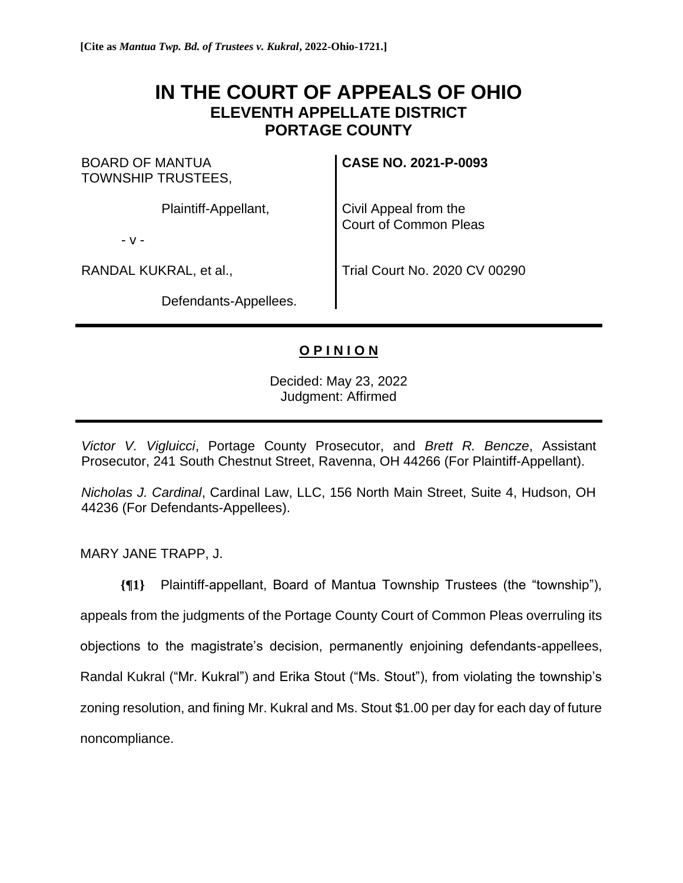# **IN THE COURT OF APPEALS OF OHIO ELEVENTH APPELLATE DISTRICT PORTAGE COUNTY**

BOARD OF MANTUA TOWNSHIP TRUSTEES,

Plaintiff-Appellant,

- v -

RANDAL KUKRAL, et al.,

Defendants-Appellees.

**CASE NO. 2021-P-0093**

Civil Appeal from the Court of Common Pleas

Trial Court No. 2020 CV 00290

# **O P I N I O N**

Decided: May 23, 2022 Judgment: Affirmed

*Victor V. Vigluicci*, Portage County Prosecutor, and *Brett R. Bencze*, Assistant Prosecutor, 241 South Chestnut Street, Ravenna, OH 44266 (For Plaintiff-Appellant).

*Nicholas J. Cardinal*, Cardinal Law, LLC, 156 North Main Street, Suite 4, Hudson, OH 44236 (For Defendants-Appellees).

MARY JANE TRAPP, J.

**{¶1}** Plaintiff-appellant, Board of Mantua Township Trustees (the "township"), appeals from the judgments of the Portage County Court of Common Pleas overruling its objections to the magistrate's decision, permanently enjoining defendants-appellees, Randal Kukral ("Mr. Kukral") and Erika Stout ("Ms. Stout"), from violating the township's zoning resolution, and fining Mr. Kukral and Ms. Stout \$1.00 per day for each day of future noncompliance.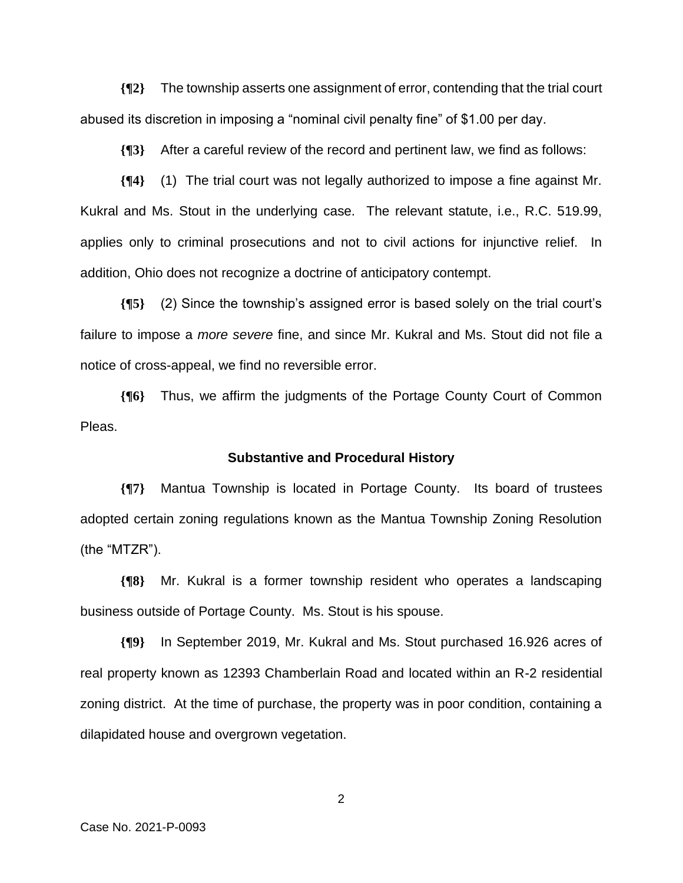**{¶2}** The township asserts one assignment of error, contending that the trial court abused its discretion in imposing a "nominal civil penalty fine" of \$1.00 per day.

**{¶3}** After a careful review of the record and pertinent law, we find as follows:

**{¶4}** (1) The trial court was not legally authorized to impose a fine against Mr. Kukral and Ms. Stout in the underlying case. The relevant statute, i.e., R.C. 519.99, applies only to criminal prosecutions and not to civil actions for injunctive relief. In addition, Ohio does not recognize a doctrine of anticipatory contempt.

**{¶5}** (2) Since the township's assigned error is based solely on the trial court's failure to impose a *more severe* fine, and since Mr. Kukral and Ms. Stout did not file a notice of cross-appeal, we find no reversible error.

**{¶6}** Thus, we affirm the judgments of the Portage County Court of Common Pleas.

# **Substantive and Procedural History**

**{¶7}** Mantua Township is located in Portage County. Its board of trustees adopted certain zoning regulations known as the Mantua Township Zoning Resolution (the "MTZR").

**{¶8}** Mr. Kukral is a former township resident who operates a landscaping business outside of Portage County. Ms. Stout is his spouse.

**{¶9}** In September 2019, Mr. Kukral and Ms. Stout purchased 16.926 acres of real property known as 12393 Chamberlain Road and located within an R-2 residential zoning district. At the time of purchase, the property was in poor condition, containing a dilapidated house and overgrown vegetation.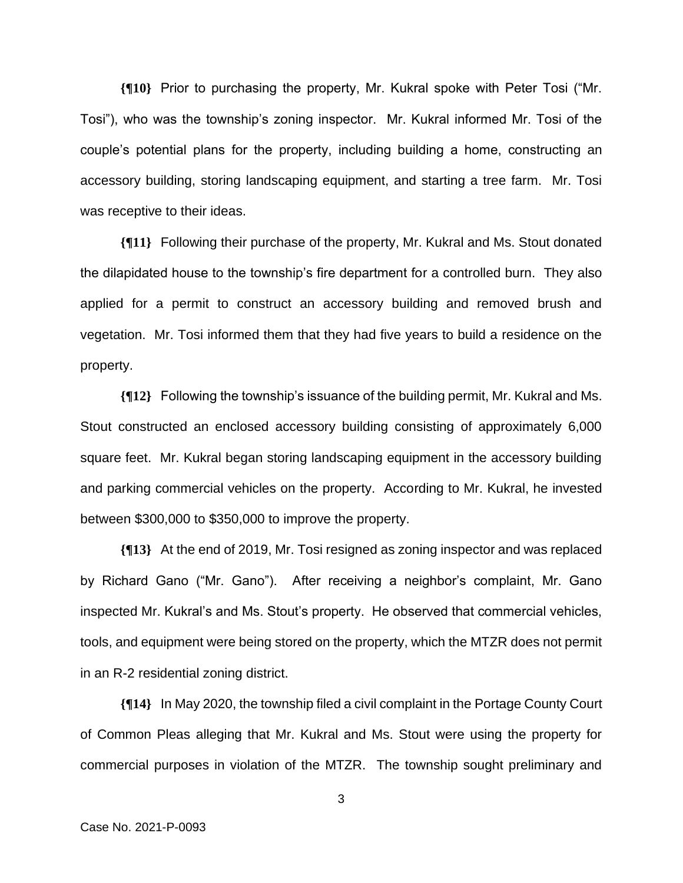**{¶10}** Prior to purchasing the property, Mr. Kukral spoke with Peter Tosi ("Mr. Tosi"), who was the township's zoning inspector. Mr. Kukral informed Mr. Tosi of the couple's potential plans for the property, including building a home, constructing an accessory building, storing landscaping equipment, and starting a tree farm. Mr. Tosi was receptive to their ideas.

**{¶11}** Following their purchase of the property, Mr. Kukral and Ms. Stout donated the dilapidated house to the township's fire department for a controlled burn. They also applied for a permit to construct an accessory building and removed brush and vegetation. Mr. Tosi informed them that they had five years to build a residence on the property.

**{¶12}** Following the township's issuance of the building permit, Mr. Kukral and Ms. Stout constructed an enclosed accessory building consisting of approximately 6,000 square feet. Mr. Kukral began storing landscaping equipment in the accessory building and parking commercial vehicles on the property. According to Mr. Kukral, he invested between \$300,000 to \$350,000 to improve the property.

**{¶13}** At the end of 2019, Mr. Tosi resigned as zoning inspector and was replaced by Richard Gano ("Mr. Gano"). After receiving a neighbor's complaint, Mr. Gano inspected Mr. Kukral's and Ms. Stout's property. He observed that commercial vehicles, tools, and equipment were being stored on the property, which the MTZR does not permit in an R-2 residential zoning district.

**{¶14}** In May 2020, the township filed a civil complaint in the Portage County Court of Common Pleas alleging that Mr. Kukral and Ms. Stout were using the property for commercial purposes in violation of the MTZR. The township sought preliminary and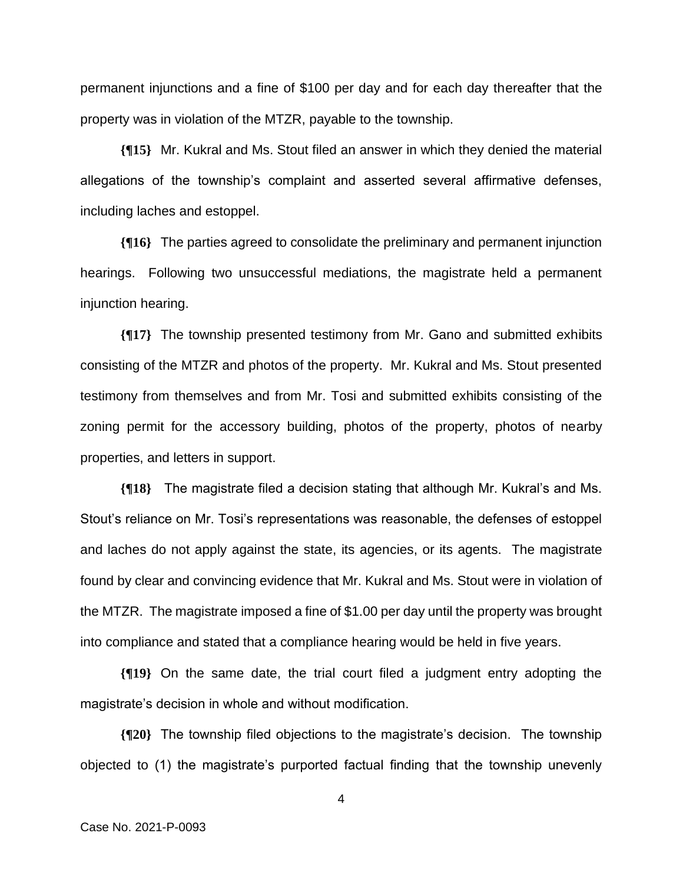permanent injunctions and a fine of \$100 per day and for each day thereafter that the property was in violation of the MTZR, payable to the township.

**{¶15}** Mr. Kukral and Ms. Stout filed an answer in which they denied the material allegations of the township's complaint and asserted several affirmative defenses, including laches and estoppel.

**{¶16}** The parties agreed to consolidate the preliminary and permanent injunction hearings. Following two unsuccessful mediations, the magistrate held a permanent injunction hearing.

**{¶17}** The township presented testimony from Mr. Gano and submitted exhibits consisting of the MTZR and photos of the property. Mr. Kukral and Ms. Stout presented testimony from themselves and from Mr. Tosi and submitted exhibits consisting of the zoning permit for the accessory building, photos of the property, photos of nearby properties, and letters in support.

**{¶18}** The magistrate filed a decision stating that although Mr. Kukral's and Ms. Stout's reliance on Mr. Tosi's representations was reasonable, the defenses of estoppel and laches do not apply against the state, its agencies, or its agents. The magistrate found by clear and convincing evidence that Mr. Kukral and Ms. Stout were in violation of the MTZR. The magistrate imposed a fine of \$1.00 per day until the property was brought into compliance and stated that a compliance hearing would be held in five years.

**{¶19}** On the same date, the trial court filed a judgment entry adopting the magistrate's decision in whole and without modification.

**{¶20}** The township filed objections to the magistrate's decision. The township objected to (1) the magistrate's purported factual finding that the township unevenly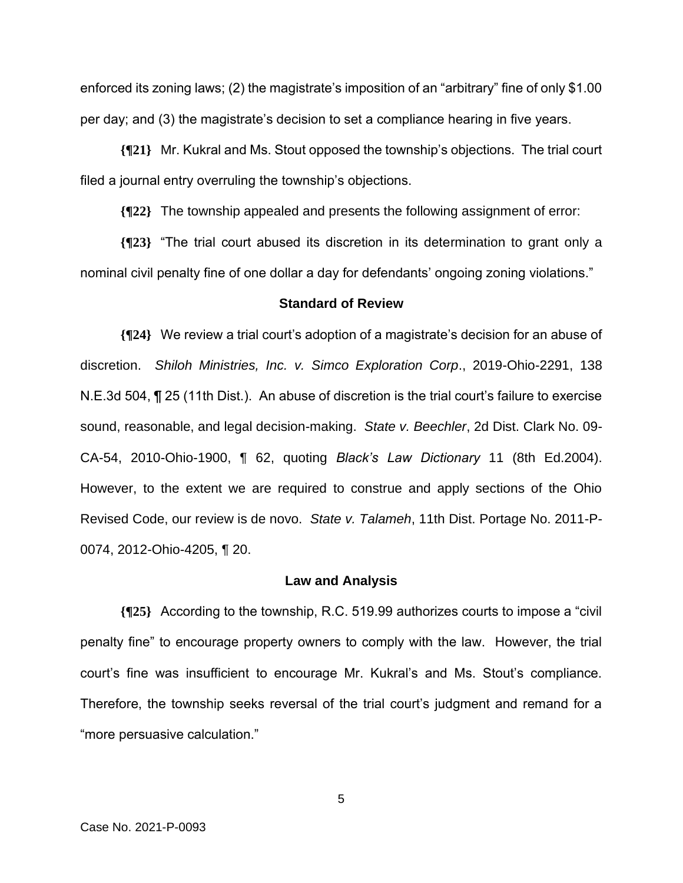enforced its zoning laws; (2) the magistrate's imposition of an "arbitrary" fine of only \$1.00 per day; and (3) the magistrate's decision to set a compliance hearing in five years.

**{¶21}** Mr. Kukral and Ms. Stout opposed the township's objections. The trial court filed a journal entry overruling the township's objections.

**{¶22}** The township appealed and presents the following assignment of error:

**{¶23}** "The trial court abused its discretion in its determination to grant only a nominal civil penalty fine of one dollar a day for defendants' ongoing zoning violations."

#### **Standard of Review**

**{¶24}** We review a trial court's adoption of a magistrate's decision for an abuse of discretion. *Shiloh Ministries, Inc. v. Simco Exploration Corp*., 2019-Ohio-2291, 138 N.E.3d 504, ¶ 25 (11th Dist.). An abuse of discretion is the trial court's failure to exercise sound, reasonable, and legal decision-making. *State v. Beechler*, 2d Dist. Clark No. 09- CA-54, 2010-Ohio-1900, ¶ 62, quoting *Black's Law Dictionary* 11 (8th Ed.2004). However, to the extent we are required to construe and apply sections of the Ohio Revised Code, our review is de novo. *State v. Talameh*, 11th Dist. Portage No. 2011-P-0074, 2012-Ohio-4205, ¶ 20.

#### **Law and Analysis**

**{¶25}** According to the township, R.C. 519.99 authorizes courts to impose a "civil penalty fine" to encourage property owners to comply with the law. However, the trial court's fine was insufficient to encourage Mr. Kukral's and Ms. Stout's compliance. Therefore, the township seeks reversal of the trial court's judgment and remand for a "more persuasive calculation."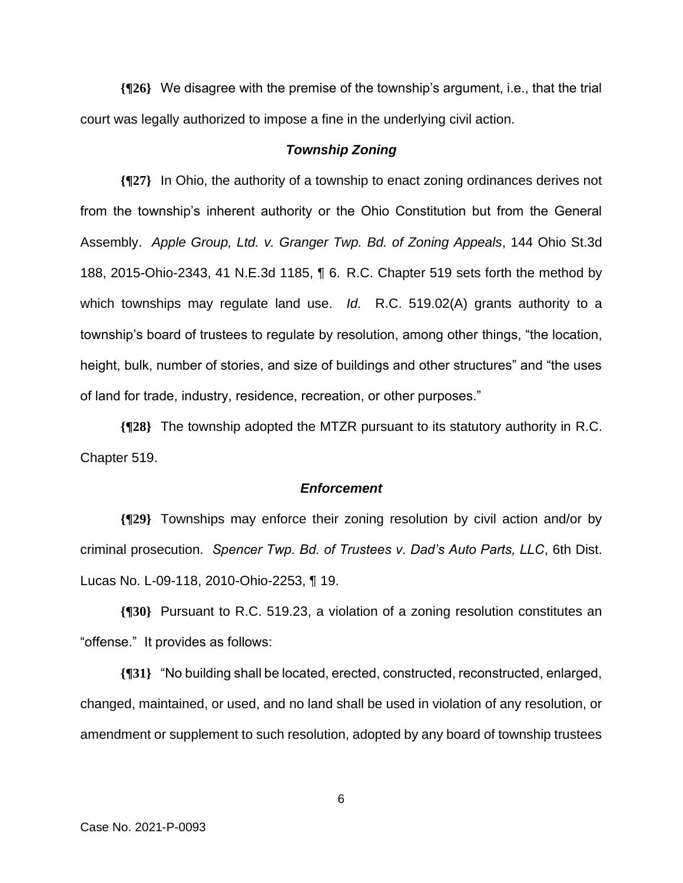**{¶26}** We disagree with the premise of the township's argument, i.e., that the trial court was legally authorized to impose a fine in the underlying civil action.

# *Township Zoning*

**{¶27}** In Ohio, the authority of a township to enact zoning ordinances derives not from the township's inherent authority or the Ohio Constitution but from the General Assembly. *Apple Group, Ltd. v. Granger Twp. Bd. of Zoning Appeals*, 144 Ohio St.3d 188, 2015-Ohio-2343, 41 N.E.3d 1185, ¶ 6. R.C. Chapter 519 sets forth the method by which townships may regulate land use. *Id.* R.C. 519.02(A) grants authority to a township's board of trustees to regulate by resolution, among other things, "the location, height, bulk, number of stories, and size of buildings and other structures" and "the uses of land for trade, industry, residence, recreation, or other purposes."

**{¶28}** The township adopted the MTZR pursuant to its statutory authority in R.C. Chapter 519.

# *Enforcement*

**{¶29}** Townships may enforce their zoning resolution by civil action and/or by criminal prosecution. *Spencer Twp. Bd. of Trustees v. Dad's Auto Parts, LLC*, 6th Dist. Lucas No. L-09-118, 2010-Ohio-2253, ¶ 19.

**{¶30}** Pursuant to R.C. 519.23, a violation of a zoning resolution constitutes an "offense." It provides as follows:

**{¶31}** "No building shall be located, erected, constructed, reconstructed, enlarged, changed, maintained, or used, and no land shall be used in violation of any resolution, or amendment or supplement to such resolution, adopted by any board of township trustees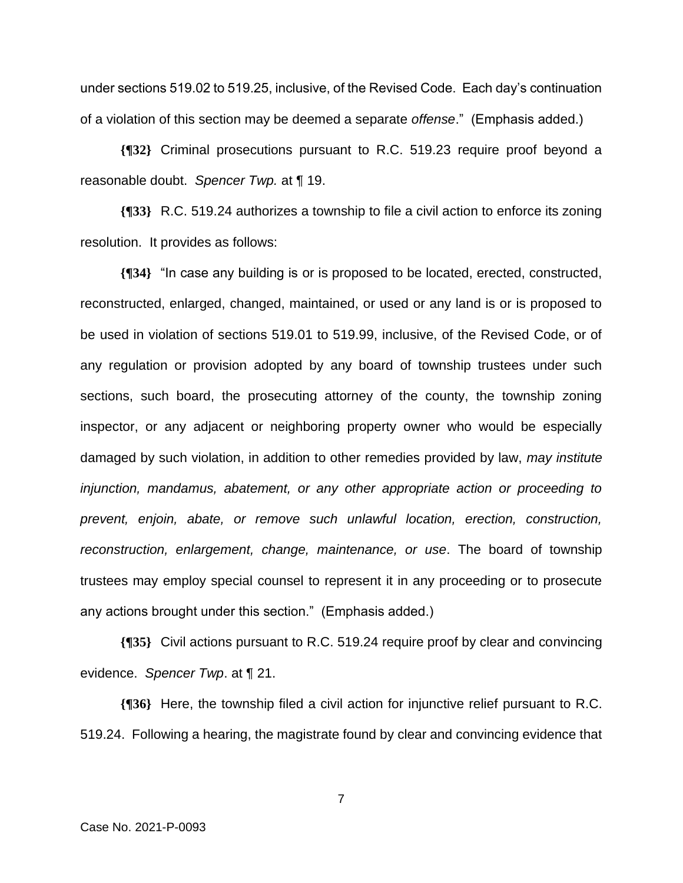under sections 519.02 to 519.25, inclusive, of the Revised Code. Each day's continuation of a violation of this section may be deemed a separate *offense*." (Emphasis added.)

**{¶32}** Criminal prosecutions pursuant to R.C. 519.23 require proof beyond a reasonable doubt. *Spencer Twp.* at ¶ 19.

**{¶33}** R.C. 519.24 authorizes a township to file a civil action to enforce its zoning resolution. It provides as follows:

**{¶34}** "In case any building is or is proposed to be located, erected, constructed, reconstructed, enlarged, changed, maintained, or used or any land is or is proposed to be used in violation of sections 519.01 to 519.99, inclusive, of the Revised Code, or of any regulation or provision adopted by any board of township trustees under such sections, such board, the prosecuting attorney of the county, the township zoning inspector, or any adjacent or neighboring property owner who would be especially damaged by such violation, in addition to other remedies provided by law, *may institute injunction, mandamus, abatement, or any other appropriate action or proceeding to prevent, enjoin, abate, or remove such unlawful location, erection, construction, reconstruction, enlargement, change, maintenance, or use*. The board of township trustees may employ special counsel to represent it in any proceeding or to prosecute any actions brought under this section." (Emphasis added.)

**{¶35}** Civil actions pursuant to R.C. 519.24 require proof by clear and convincing evidence. *Spencer Twp*. at ¶ 21.

**{¶36}** Here, the township filed a civil action for injunctive relief pursuant to R.C. 519.24. Following a hearing, the magistrate found by clear and convincing evidence that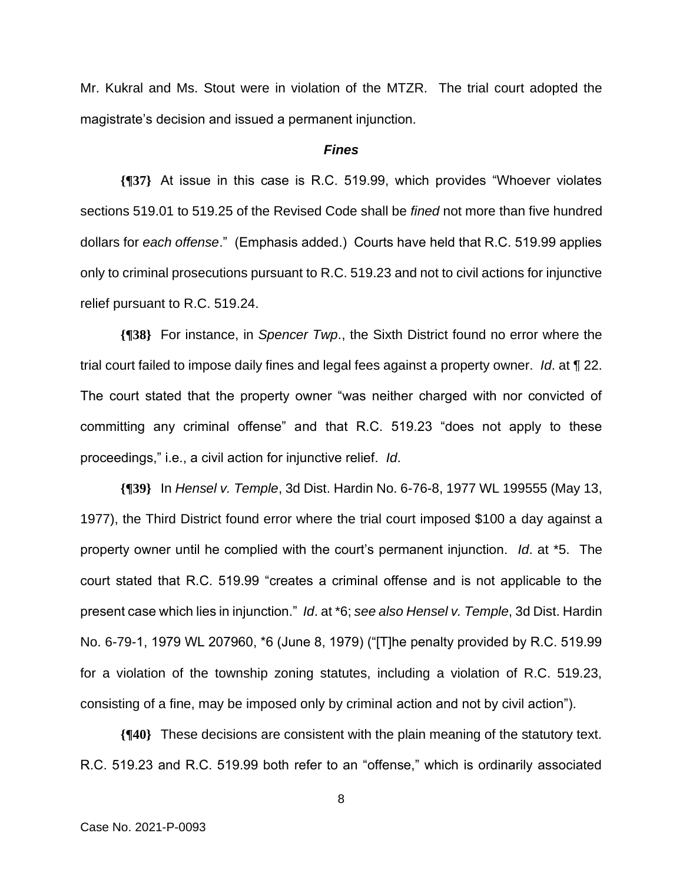Mr. Kukral and Ms. Stout were in violation of the MTZR. The trial court adopted the magistrate's decision and issued a permanent injunction.

#### *Fines*

**{¶37}** At issue in this case is R.C. 519.99, which provides "Whoever violates sections 519.01 to 519.25 of the Revised Code shall be *fined* not more than five hundred dollars for *each offense*." (Emphasis added.) Courts have held that R.C. 519.99 applies only to criminal prosecutions pursuant to R.C. 519.23 and not to civil actions for injunctive relief pursuant to R.C. 519.24.

**{¶38}** For instance, in *Spencer Twp*., the Sixth District found no error where the trial court failed to impose daily fines and legal fees against a property owner. *Id*. at ¶ 22. The court stated that the property owner "was neither charged with nor convicted of committing any criminal offense" and that R.C. 519.23 "does not apply to these proceedings," i.e., a civil action for injunctive relief. *Id*.

**{¶39}** In *Hensel v. Temple*, 3d Dist. Hardin No. 6-76-8, 1977 WL 199555 (May 13, 1977), the Third District found error where the trial court imposed \$100 a day against a property owner until he complied with the court's permanent injunction. *Id*. at \*5. The court stated that R.C. 519.99 "creates a criminal offense and is not applicable to the present case which lies in injunction." *Id*. at \*6; *see also Hensel v. Temple*, 3d Dist. Hardin No. 6-79-1, 1979 WL 207960, \*6 (June 8, 1979) ("[T]he penalty provided by R.C. 519.99 for a violation of the township zoning statutes, including a violation of R.C. 519.23, consisting of a fine, may be imposed only by criminal action and not by civil action").

**{¶40}** These decisions are consistent with the plain meaning of the statutory text. R.C. 519.23 and R.C. 519.99 both refer to an "offense," which is ordinarily associated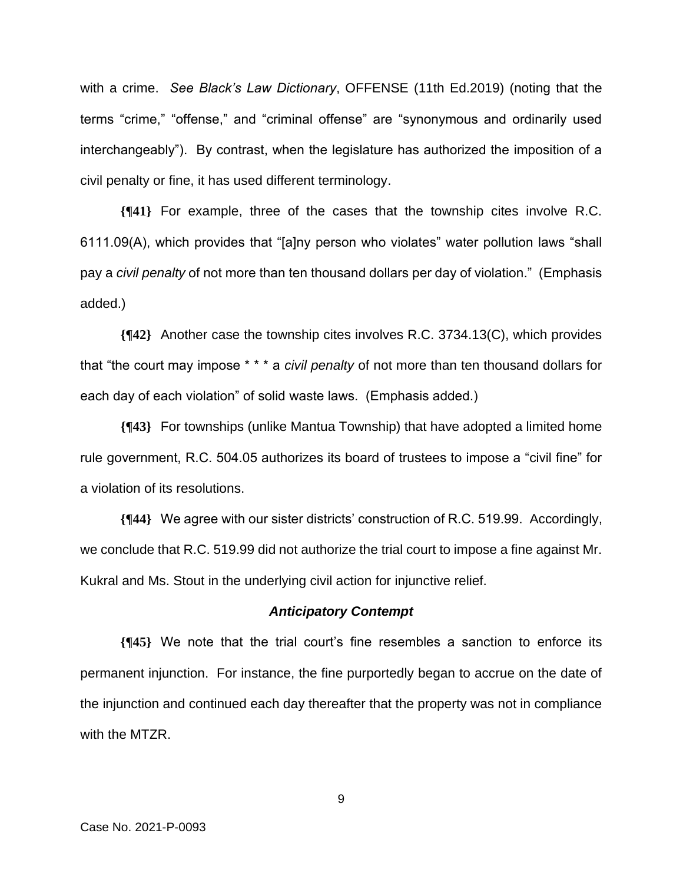with a crime. *See Black's Law Dictionary*, OFFENSE (11th Ed.2019) (noting that the terms "crime," "offense," and "criminal offense" are "synonymous and ordinarily used interchangeably"). By contrast, when the legislature has authorized the imposition of a civil penalty or fine, it has used different terminology.

**{¶41}** For example, three of the cases that the township cites involve R.C. 6111.09(A), which provides that "[a]ny person who violates" water pollution laws "shall pay a *civil penalty* of not more than ten thousand dollars per day of violation." (Emphasis added.)

**{¶42}** Another case the township cites involves R.C. 3734.13(C), which provides that "the court may impose \* \* \* a *civil penalty* of not more than ten thousand dollars for each day of each violation" of solid waste laws. (Emphasis added.)

**{¶43}** For townships (unlike Mantua Township) that have adopted a limited home rule government, R.C. 504.05 authorizes its board of trustees to impose a "civil fine" for a violation of its resolutions.

**{¶44}** We agree with our sister districts' construction of R.C. 519.99. Accordingly, we conclude that R.C. 519.99 did not authorize the trial court to impose a fine against Mr. Kukral and Ms. Stout in the underlying civil action for injunctive relief.

#### *Anticipatory Contempt*

**{¶45}** We note that the trial court's fine resembles a sanction to enforce its permanent injunction. For instance, the fine purportedly began to accrue on the date of the injunction and continued each day thereafter that the property was not in compliance with the MTZR.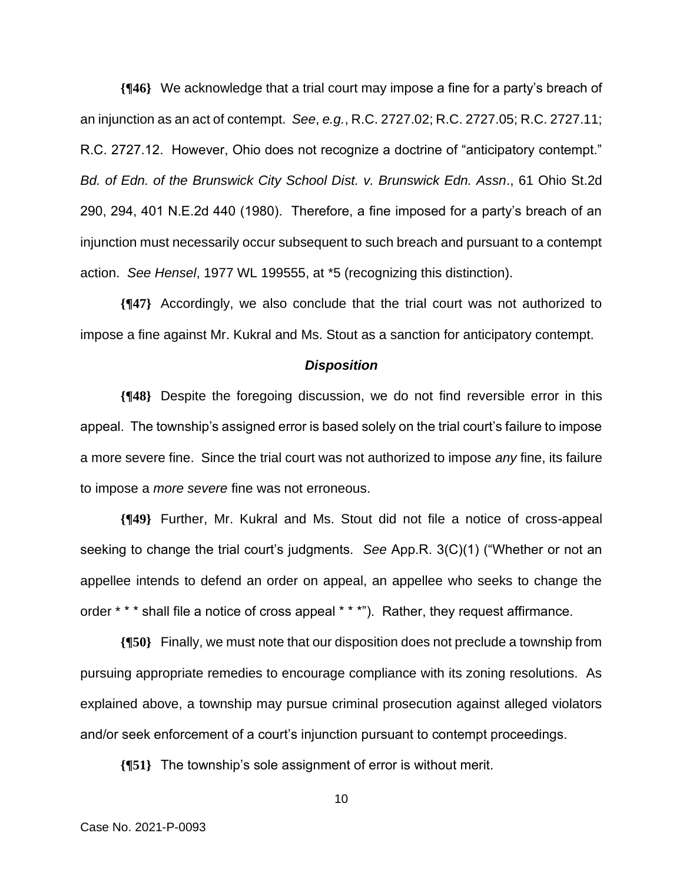**{¶46}** We acknowledge that a trial court may impose a fine for a party's breach of an injunction as an act of contempt. *See*, *e.g.*, R.C. 2727.02; R.C. 2727.05; R.C. 2727.11; R.C. 2727.12. However, Ohio does not recognize a doctrine of "anticipatory contempt." *Bd. of Edn. of the Brunswick City School Dist. v. Brunswick Edn. Assn*., 61 Ohio St.2d 290, 294, 401 N.E.2d 440 (1980). Therefore, a fine imposed for a party's breach of an injunction must necessarily occur subsequent to such breach and pursuant to a contempt action. *See Hensel*, 1977 WL 199555, at \*5 (recognizing this distinction).

**{¶47}** Accordingly, we also conclude that the trial court was not authorized to impose a fine against Mr. Kukral and Ms. Stout as a sanction for anticipatory contempt.

# *Disposition*

**{¶48}** Despite the foregoing discussion, we do not find reversible error in this appeal. The township's assigned error is based solely on the trial court's failure to impose a more severe fine. Since the trial court was not authorized to impose *any* fine, its failure to impose a *more severe* fine was not erroneous.

**{¶49}** Further, Mr. Kukral and Ms. Stout did not file a notice of cross-appeal seeking to change the trial court's judgments. *See* App.R. 3(C)(1) ("Whether or not an appellee intends to defend an order on appeal, an appellee who seeks to change the order \* \* \* shall file a notice of cross appeal \* \* \*"). Rather, they request affirmance.

**{¶50}** Finally, we must note that our disposition does not preclude a township from pursuing appropriate remedies to encourage compliance with its zoning resolutions. As explained above, a township may pursue criminal prosecution against alleged violators and/or seek enforcement of a court's injunction pursuant to contempt proceedings.

**{¶51}** The township's sole assignment of error is without merit.